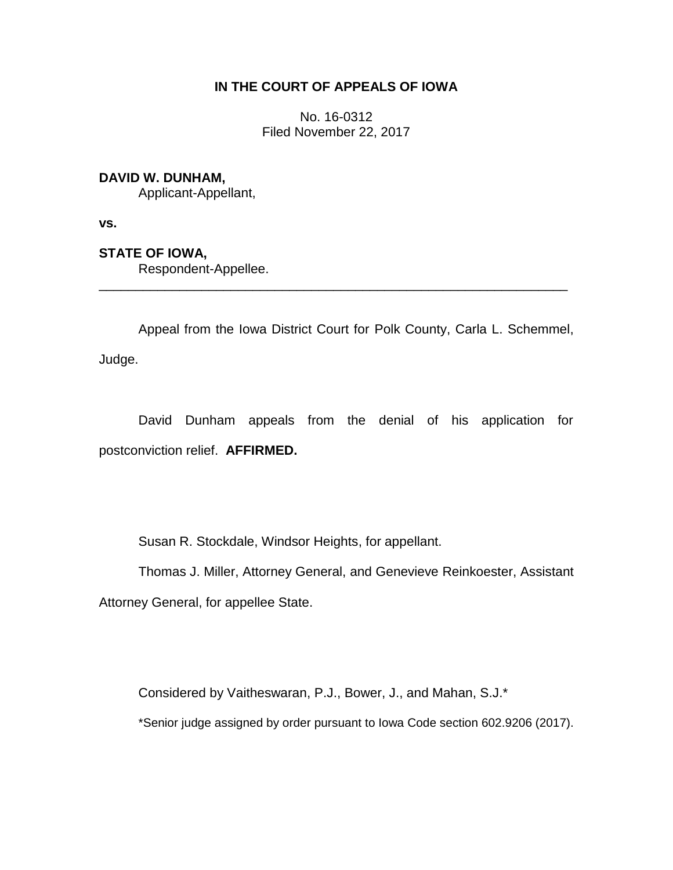## **IN THE COURT OF APPEALS OF IOWA**

No. 16-0312 Filed November 22, 2017

## **DAVID W. DUNHAM,**

Applicant-Appellant,

**vs.**

**STATE OF IOWA,**

Respondent-Appellee.

Appeal from the Iowa District Court for Polk County, Carla L. Schemmel, Judge.

\_\_\_\_\_\_\_\_\_\_\_\_\_\_\_\_\_\_\_\_\_\_\_\_\_\_\_\_\_\_\_\_\_\_\_\_\_\_\_\_\_\_\_\_\_\_\_\_\_\_\_\_\_\_\_\_\_\_\_\_\_\_\_\_

David Dunham appeals from the denial of his application for postconviction relief. **AFFIRMED.**

Susan R. Stockdale, Windsor Heights, for appellant.

Thomas J. Miller, Attorney General, and Genevieve Reinkoester, Assistant Attorney General, for appellee State.

Considered by Vaitheswaran, P.J., Bower, J., and Mahan, S.J.\*

\*Senior judge assigned by order pursuant to Iowa Code section 602.9206 (2017).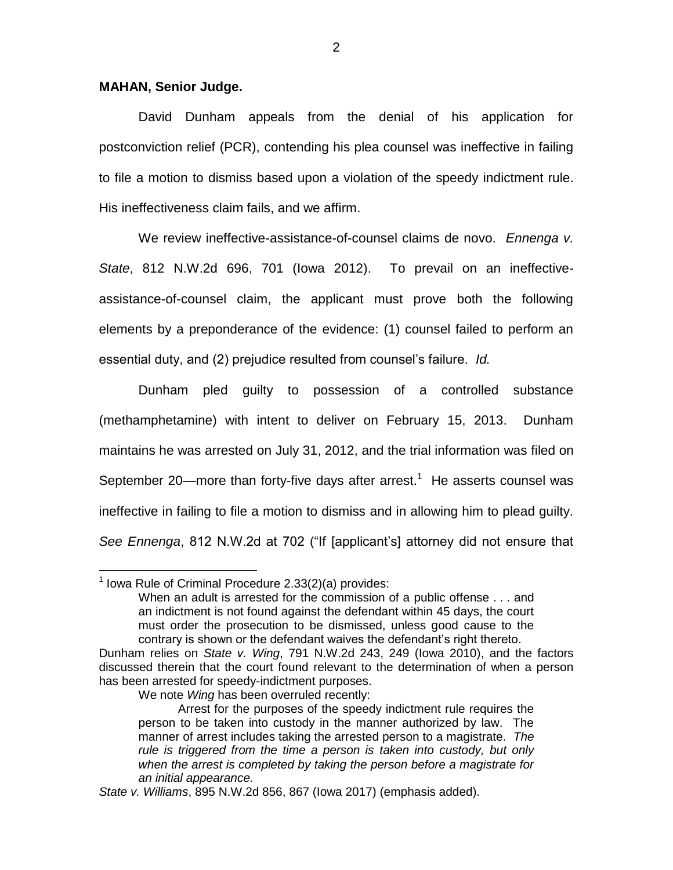## **MAHAN, Senior Judge.**

David Dunham appeals from the denial of his application for postconviction relief (PCR), contending his plea counsel was ineffective in failing to file a motion to dismiss based upon a violation of the speedy indictment rule. His ineffectiveness claim fails, and we affirm.

We review ineffective-assistance-of-counsel claims de novo. *Ennenga v. State*, 812 N.W.2d 696, 701 (Iowa 2012). To prevail on an ineffectiveassistance-of-counsel claim, the applicant must prove both the following elements by a preponderance of the evidence: (1) counsel failed to perform an essential duty, and (2) prejudice resulted from counsel's failure. *Id.*

Dunham pled guilty to possession of a controlled substance (methamphetamine) with intent to deliver on February 15, 2013. Dunham maintains he was arrested on July 31, 2012, and the trial information was filed on September 20—more than forty-five days after arrest.<sup>1</sup> He asserts counsel was ineffective in failing to file a motion to dismiss and in allowing him to plead guilty. *See Ennenga*, 812 N.W.2d at 702 ("If [applicant's] attorney did not ensure that

 $\overline{a}$ 

When an adult is arrested for the commission of a public offense . . . and an indictment is not found against the defendant within 45 days, the court must order the prosecution to be dismissed, unless good cause to the contrary is shown or the defendant waives the defendant's right thereto. Dunham relies on *State v. Wing*, 791 N.W.2d 243, 249 (Iowa 2010), and the factors

 $1$  lowa Rule of Criminal Procedure 2.33(2)(a) provides:

discussed therein that the court found relevant to the determination of when a person has been arrested for speedy-indictment purposes.

We note *Wing* has been overruled recently:

Arrest for the purposes of the speedy indictment rule requires the person to be taken into custody in the manner authorized by law. The manner of arrest includes taking the arrested person to a magistrate. *The rule is triggered from the time a person is taken into custody, but only when the arrest is completed by taking the person before a magistrate for an initial appearance.*

*State v. Williams*, 895 N.W.2d 856, 867 (Iowa 2017) (emphasis added).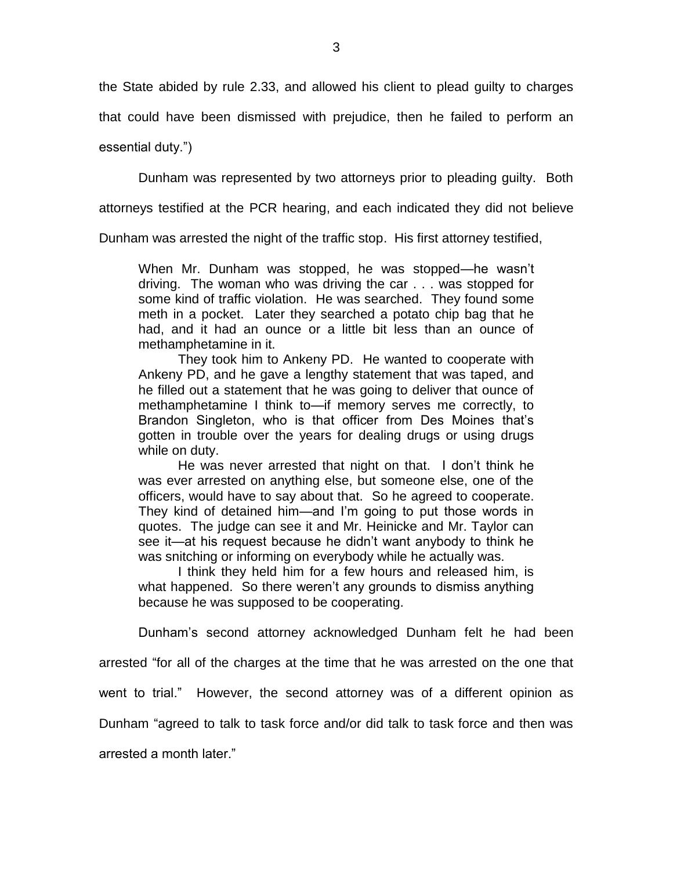the State abided by rule 2.33, and allowed his client to plead guilty to charges

that could have been dismissed with prejudice, then he failed to perform an

essential duty.")

Dunham was represented by two attorneys prior to pleading guilty. Both

attorneys testified at the PCR hearing, and each indicated they did not believe

Dunham was arrested the night of the traffic stop. His first attorney testified,

When Mr. Dunham was stopped, he was stopped—he wasn't driving. The woman who was driving the car . . . was stopped for some kind of traffic violation. He was searched. They found some meth in a pocket. Later they searched a potato chip bag that he had, and it had an ounce or a little bit less than an ounce of methamphetamine in it.

They took him to Ankeny PD. He wanted to cooperate with Ankeny PD, and he gave a lengthy statement that was taped, and he filled out a statement that he was going to deliver that ounce of methamphetamine I think to—if memory serves me correctly, to Brandon Singleton, who is that officer from Des Moines that's gotten in trouble over the years for dealing drugs or using drugs while on duty.

He was never arrested that night on that. I don't think he was ever arrested on anything else, but someone else, one of the officers, would have to say about that. So he agreed to cooperate. They kind of detained him—and I'm going to put those words in quotes. The judge can see it and Mr. Heinicke and Mr. Taylor can see it—at his request because he didn't want anybody to think he was snitching or informing on everybody while he actually was.

I think they held him for a few hours and released him, is what happened. So there weren't any grounds to dismiss anything because he was supposed to be cooperating.

Dunham's second attorney acknowledged Dunham felt he had been

arrested "for all of the charges at the time that he was arrested on the one that

went to trial." However, the second attorney was of a different opinion as

Dunham "agreed to talk to task force and/or did talk to task force and then was

arrested a month later."